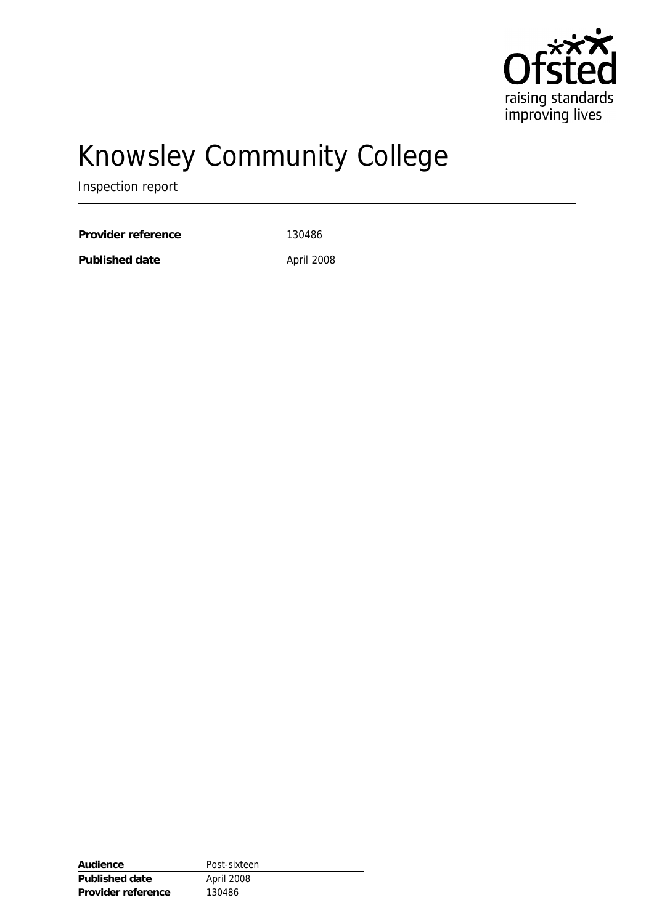

# Knowsley Community College

Inspection report

Provider reference 130486

Published date April 2008

| Audience           | Post-sixteen |
|--------------------|--------------|
| Published date     | April 2008   |
| Provider reference | 130486       |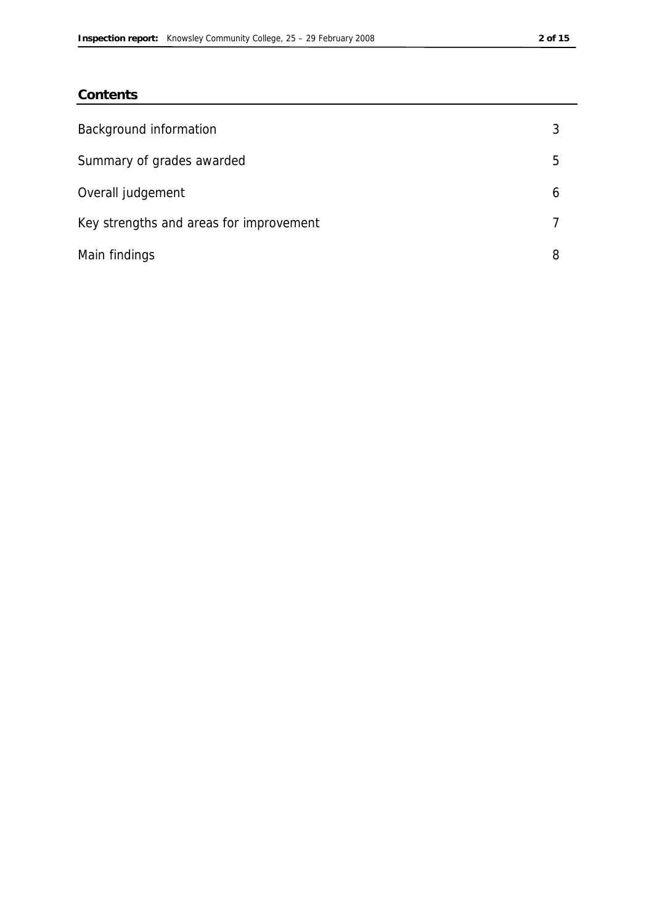### **Contents**

| Background information                  |   |
|-----------------------------------------|---|
| Summary of grades awarded               | 5 |
| Overall judgement                       | b |
| Key strengths and areas for improvement |   |
| Main findings                           | 8 |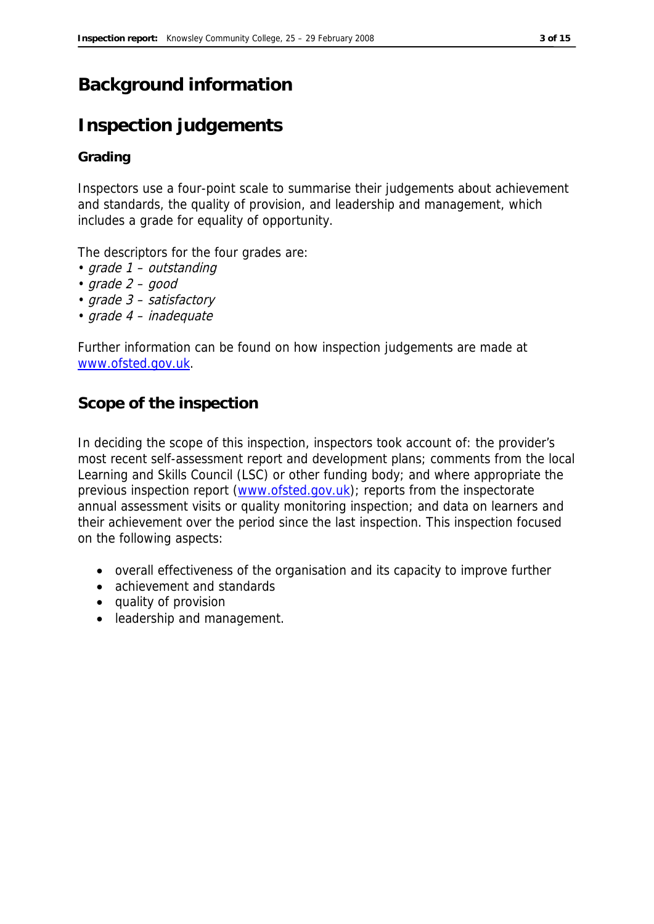### **Background information**

### **Inspection judgements**

### **Grading**

Inspectors use a four-point scale to summarise their judgements about achievement and standards, the quality of provision, and leadership and management, which includes a grade for equality of opportunity.

The descriptors for the four grades are:

- grade 1 outstanding
- $grade 2 good$
- grade 3 satisfactory
- grade 4 inadequate

Further information can be found on how inspection judgements are made at www.ofsted.gov.uk.

### **Scope of the inspection**

In deciding the scope of this inspection, inspectors took account of: the provider's most recent self-assessment report and development plans; comments from the local Learning and Skills Council (LSC) or other funding body; and where appropriate the previous inspection report (www.ofsted.gov.uk); reports from the inspectorate annual assessment visits or quality monitoring inspection; and data on learners and their achievement over the period since the last inspection. This inspection focused on the following aspects:

- overall effectiveness of the organisation and its capacity to improve further
- achievement and standards
- quality of provision
- leadership and management.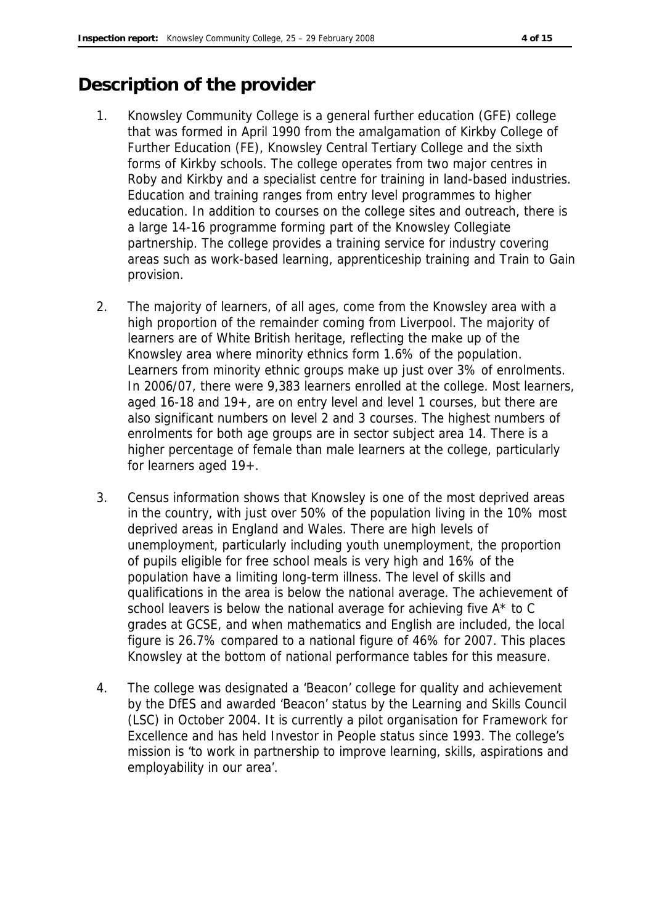### **Description of the provider**

- 1. Knowsley Community College is a general further education (GFE) college that was formed in April 1990 from the amalgamation of Kirkby College of Further Education (FE), Knowsley Central Tertiary College and the sixth forms of Kirkby schools. The college operates from two major centres in Roby and Kirkby and a specialist centre for training in land-based industries. Education and training ranges from entry level programmes to higher education. In addition to courses on the college sites and outreach, there is a large 14-16 programme forming part of the Knowsley Collegiate partnership. The college provides a training service for industry covering areas such as work-based learning, apprenticeship training and Train to Gain provision.
- 2. The majority of learners, of all ages, come from the Knowsley area with a high proportion of the remainder coming from Liverpool. The majority of learners are of White British heritage, reflecting the make up of the Knowsley area where minority ethnics form 1.6% of the population. Learners from minority ethnic groups make up just over 3% of enrolments. In 2006/07, there were 9,383 learners enrolled at the college. Most learners, aged 16-18 and 19+, are on entry level and level 1 courses, but there are also significant numbers on level 2 and 3 courses. The highest numbers of enrolments for both age groups are in sector subject area 14. There is a higher percentage of female than male learners at the college, particularly for learners aged 19+.
- 3. Census information shows that Knowsley is one of the most deprived areas in the country, with just over 50% of the population living in the 10% most deprived areas in England and Wales. There are high levels of unemployment, particularly including youth unemployment, the proportion of pupils eligible for free school meals is very high and 16% of the population have a limiting long-term illness. The level of skills and qualifications in the area is below the national average. The achievement of school leavers is below the national average for achieving five A\* to C grades at GCSE, and when mathematics and English are included, the local figure is 26.7% compared to a national figure of 46% for 2007. This places Knowsley at the bottom of national performance tables for this measure.
- 4. The college was designated a 'Beacon' college for quality and achievement by the DfES and awarded 'Beacon' status by the Learning and Skills Council (LSC) in October 2004. It is currently a pilot organisation for Framework for Excellence and has held Investor in People status since 1993. The college's mission is 'to work in partnership to improve learning, skills, aspirations and employability in our area'.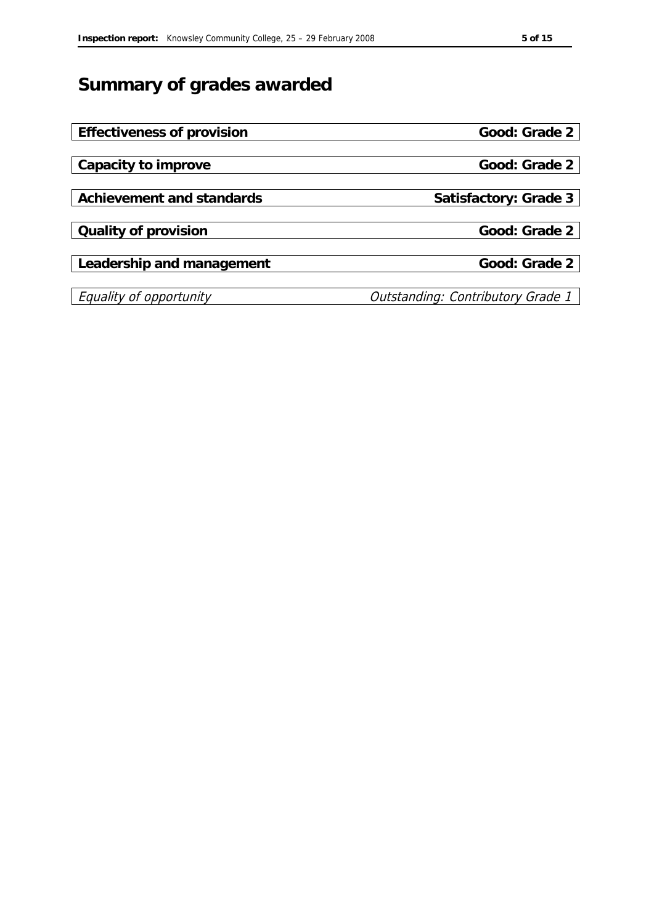# **Summary of grades awarded**

| Effectiveness of provision | Good: Grade 2                            |
|----------------------------|------------------------------------------|
|                            |                                          |
| Capacity to improve        | Good: Grade 2                            |
|                            |                                          |
| Achievement and standards  | Satisfactory: Grade 3                    |
|                            |                                          |
| Quality of provision       | Good: Grade 2                            |
|                            |                                          |
| Leadership and management  | Good: Grade 2                            |
|                            |                                          |
| Equality of opportunity    | <b>Outstanding: Contributory Grade 1</b> |
|                            |                                          |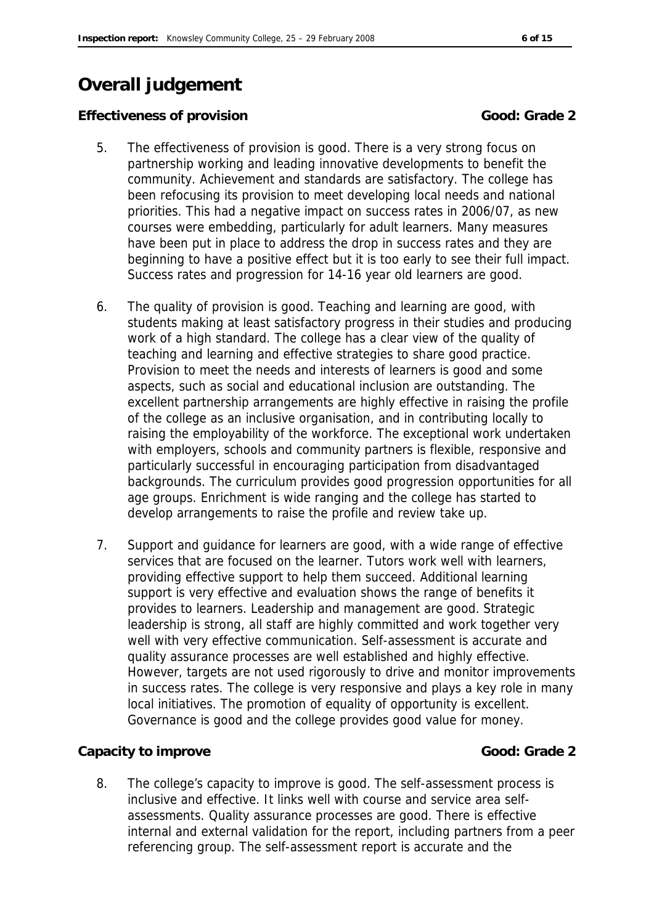## **Overall judgement**

**Effectiveness of provision** Good: Grade 2

- 5. The effectiveness of provision is good. There is a very strong focus on partnership working and leading innovative developments to benefit the community. Achievement and standards are satisfactory. The college has been refocusing its provision to meet developing local needs and national priorities. This had a negative impact on success rates in 2006/07, as new courses were embedding, particularly for adult learners. Many measures have been put in place to address the drop in success rates and they are beginning to have a positive effect but it is too early to see their full impact. Success rates and progression for 14-16 year old learners are good.
- 6. The quality of provision is good. Teaching and learning are good, with students making at least satisfactory progress in their studies and producing work of a high standard. The college has a clear view of the quality of teaching and learning and effective strategies to share good practice. Provision to meet the needs and interests of learners is good and some aspects, such as social and educational inclusion are outstanding. The excellent partnership arrangements are highly effective in raising the profile of the college as an inclusive organisation, and in contributing locally to raising the employability of the workforce. The exceptional work undertaken with employers, schools and community partners is flexible, responsive and particularly successful in encouraging participation from disadvantaged backgrounds. The curriculum provides good progression opportunities for all age groups. Enrichment is wide ranging and the college has started to develop arrangements to raise the profile and review take up.
- 7. Support and guidance for learners are good, with a wide range of effective services that are focused on the learner. Tutors work well with learners, providing effective support to help them succeed. Additional learning support is very effective and evaluation shows the range of benefits it provides to learners. Leadership and management are good. Strategic leadership is strong, all staff are highly committed and work together very well with very effective communication. Self-assessment is accurate and quality assurance processes are well established and highly effective. However, targets are not used rigorously to drive and monitor improvements in success rates. The college is very responsive and plays a key role in many local initiatives. The promotion of equality of opportunity is excellent. Governance is good and the college provides good value for money.

### **Capacity to improve Capacity to improve Capacity Cood: Grade 2**

8. The college's capacity to improve is good. The self-assessment process is inclusive and effective. It links well with course and service area selfassessments. Quality assurance processes are good. There is effective internal and external validation for the report, including partners from a peer referencing group. The self-assessment report is accurate and the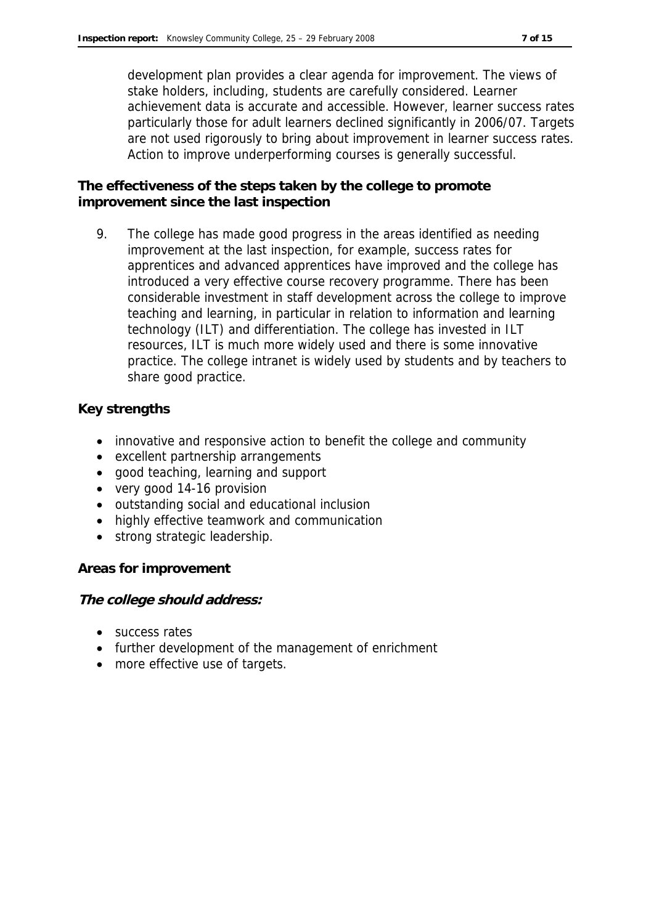development plan provides a clear agenda for improvement. The views of stake holders, including, students are carefully considered. Learner achievement data is accurate and accessible. However, learner success rates particularly those for adult learners declined significantly in 2006/07. Targets are not used rigorously to bring about improvement in learner success rates. Action to improve underperforming courses is generally successful.

**The effectiveness of the steps taken by the college to promote improvement since the last inspection**

9. The college has made good progress in the areas identified as needing improvement at the last inspection, for example, success rates for apprentices and advanced apprentices have improved and the college has introduced a very effective course recovery programme. There has been considerable investment in staff development across the college to improve teaching and learning, in particular in relation to information and learning technology (ILT) and differentiation. The college has invested in ILT resources, ILT is much more widely used and there is some innovative practice. The college intranet is widely used by students and by teachers to share good practice.

**Key strengths**

- innovative and responsive action to benefit the college and community
- excellent partnership arrangements
- good teaching, learning and support
- very good 14-16 provision
- outstanding social and educational inclusion
- highly effective teamwork and communication
- strong strategic leadership.

**Areas for improvement**

**The college should address:**

- success rates
- further development of the management of enrichment
- more effective use of targets.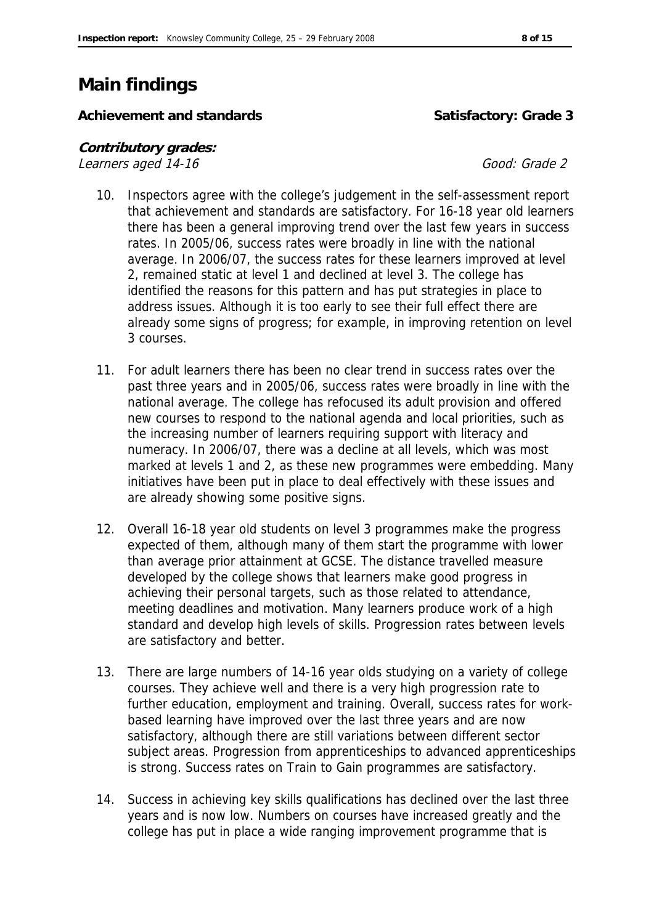### **Main findings**

Achievement and standards<br> **Satisfactory: Grade 3** 

**Contributory grades:**  Learners aged 14-16

- 10. Inspectors agree with the college's judgement in the self-assessment report that achievement and standards are satisfactory. For 16-18 year old learners there has been a general improving trend over the last few years in success rates. In 2005/06, success rates were broadly in line with the national average. In 2006/07, the success rates for these learners improved at level 2, remained static at level 1 and declined at level 3. The college has identified the reasons for this pattern and has put strategies in place to address issues. Although it is too early to see their full effect there are already some signs of progress; for example, in improving retention on level 3 courses.
- 11. For adult learners there has been no clear trend in success rates over the past three years and in 2005/06, success rates were broadly in line with the national average. The college has refocused its adult provision and offered new courses to respond to the national agenda and local priorities, such as the increasing number of learners requiring support with literacy and numeracy. In 2006/07, there was a decline at all levels, which was most marked at levels 1 and 2, as these new programmes were embedding. Many initiatives have been put in place to deal effectively with these issues and are already showing some positive signs.
- 12. Overall 16-18 year old students on level 3 programmes make the progress expected of them, although many of them start the programme with lower than average prior attainment at GCSE. The distance travelled measure developed by the college shows that learners make good progress in achieving their personal targets, such as those related to attendance, meeting deadlines and motivation. Many learners produce work of a high standard and develop high levels of skills. Progression rates between levels are satisfactory and better.
- 13. There are large numbers of 14-16 year olds studying on a variety of college courses. They achieve well and there is a very high progression rate to further education, employment and training. Overall, success rates for workbased learning have improved over the last three years and are now satisfactory, although there are still variations between different sector subject areas. Progression from apprenticeships to advanced apprenticeships is strong. Success rates on Train to Gain programmes are satisfactory.
- 14. Success in achieving key skills qualifications has declined over the last three years and is now low. Numbers on courses have increased greatly and the college has put in place a wide ranging improvement programme that is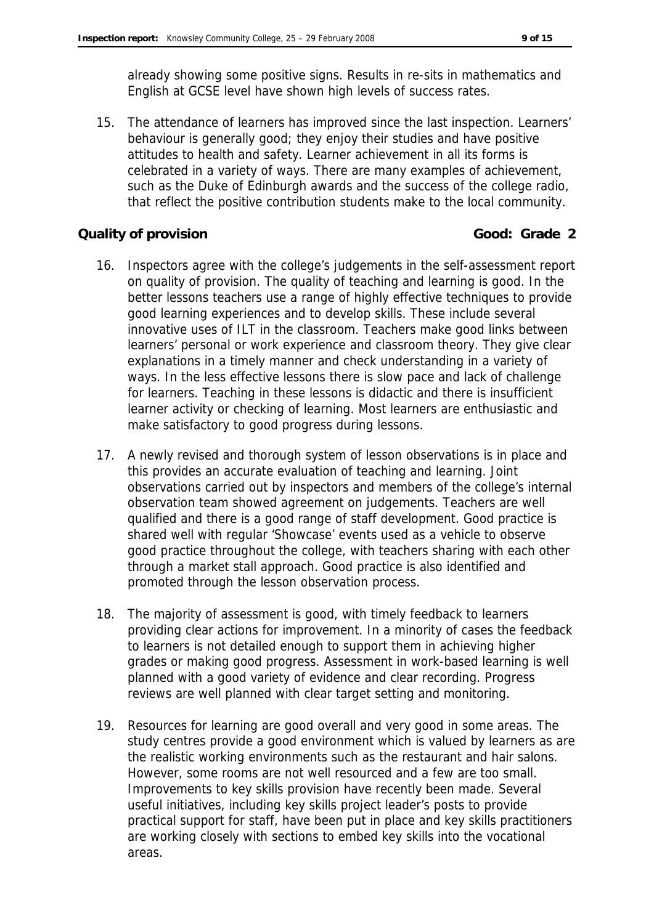already showing some positive signs. Results in re-sits in mathematics and English at GCSE level have shown high levels of success rates.

15. The attendance of learners has improved since the last inspection. Learners' behaviour is generally good; they enjoy their studies and have positive attitudes to health and safety. Learner achievement in all its forms is celebrated in a variety of ways. There are many examples of achievement, such as the Duke of Edinburgh awards and the success of the college radio, that reflect the positive contribution students make to the local community.

### **Quality of provision Good: Grade 2**

- 16. Inspectors agree with the college's judgements in the self-assessment report on quality of provision. The quality of teaching and learning is good. In the better lessons teachers use a range of highly effective techniques to provide good learning experiences and to develop skills. These include several innovative uses of ILT in the classroom. Teachers make good links between learners' personal or work experience and classroom theory. They give clear explanations in a timely manner and check understanding in a variety of ways. In the less effective lessons there is slow pace and lack of challenge for learners. Teaching in these lessons is didactic and there is insufficient learner activity or checking of learning. Most learners are enthusiastic and make satisfactory to good progress during lessons.
- 17. A newly revised and thorough system of lesson observations is in place and this provides an accurate evaluation of teaching and learning. Joint observations carried out by inspectors and members of the college's internal observation team showed agreement on judgements. Teachers are well qualified and there is a good range of staff development. Good practice is shared well with regular 'Showcase' events used as a vehicle to observe good practice throughout the college, with teachers sharing with each other through a market stall approach. Good practice is also identified and promoted through the lesson observation process.
- 18. The majority of assessment is good, with timely feedback to learners providing clear actions for improvement. In a minority of cases the feedback to learners is not detailed enough to support them in achieving higher grades or making good progress. Assessment in work-based learning is well planned with a good variety of evidence and clear recording. Progress reviews are well planned with clear target setting and monitoring.
- 19. Resources for learning are good overall and very good in some areas. The study centres provide a good environment which is valued by learners as are the realistic working environments such as the restaurant and hair salons. However, some rooms are not well resourced and a few are too small. Improvements to key skills provision have recently been made. Several useful initiatives, including key skills project leader's posts to provide practical support for staff, have been put in place and key skills practitioners are working closely with sections to embed key skills into the vocational areas.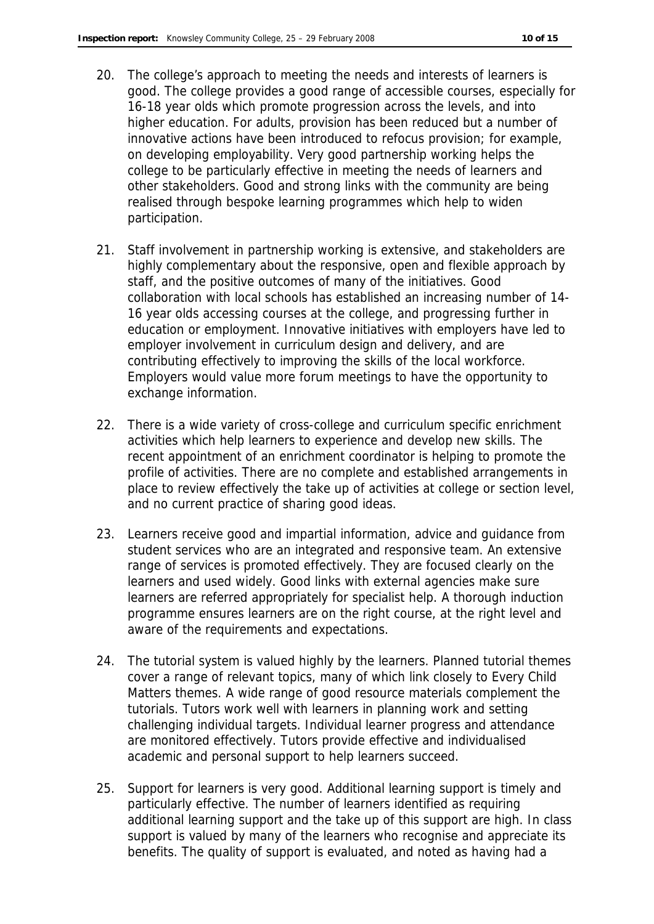- 20. The college's approach to meeting the needs and interests of learners is good. The college provides a good range of accessible courses, especially for 16-18 year olds which promote progression across the levels, and into higher education. For adults, provision has been reduced but a number of innovative actions have been introduced to refocus provision; for example, on developing employability. Very good partnership working helps the college to be particularly effective in meeting the needs of learners and other stakeholders. Good and strong links with the community are being realised through bespoke learning programmes which help to widen participation.
- 21. Staff involvement in partnership working is extensive, and stakeholders are highly complementary about the responsive, open and flexible approach by staff, and the positive outcomes of many of the initiatives. Good collaboration with local schools has established an increasing number of 14- 16 year olds accessing courses at the college, and progressing further in education or employment. Innovative initiatives with employers have led to employer involvement in curriculum design and delivery, and are contributing effectively to improving the skills of the local workforce. Employers would value more forum meetings to have the opportunity to exchange information.
- 22. There is a wide variety of cross-college and curriculum specific enrichment activities which help learners to experience and develop new skills. The recent appointment of an enrichment coordinator is helping to promote the profile of activities. There are no complete and established arrangements in place to review effectively the take up of activities at college or section level, and no current practice of sharing good ideas.
- 23. Learners receive good and impartial information, advice and guidance from student services who are an integrated and responsive team. An extensive range of services is promoted effectively. They are focused clearly on the learners and used widely. Good links with external agencies make sure learners are referred appropriately for specialist help. A thorough induction programme ensures learners are on the right course, at the right level and aware of the requirements and expectations.
- 24. The tutorial system is valued highly by the learners. Planned tutorial themes cover a range of relevant topics, many of which link closely to Every Child Matters themes. A wide range of good resource materials complement the tutorials. Tutors work well with learners in planning work and setting challenging individual targets. Individual learner progress and attendance are monitored effectively. Tutors provide effective and individualised academic and personal support to help learners succeed.
- 25. Support for learners is very good. Additional learning support is timely and particularly effective. The number of learners identified as requiring additional learning support and the take up of this support are high. In class support is valued by many of the learners who recognise and appreciate its benefits. The quality of support is evaluated, and noted as having had a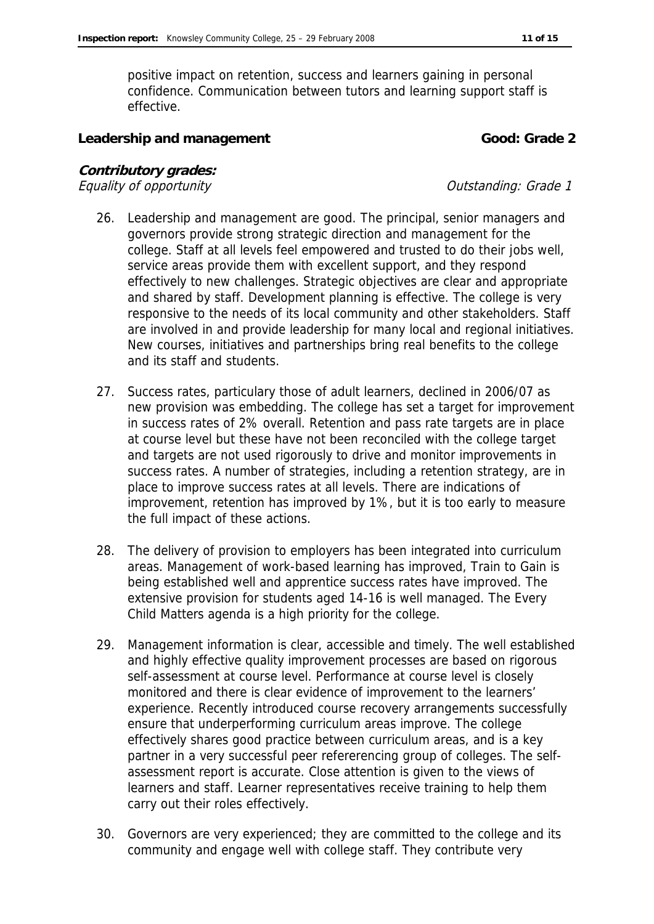positive impact on retention, success and learners gaining in personal confidence. Communication between tutors and learning support staff is effective.

Leadership and management **Cool**: Grade 2

**Contributory grades:** Equality of opportunity  $E$  and  $E$  and  $E$  and  $E$  and  $E$  and  $E$  and  $E$  and  $E$  and  $E$  and  $E$  and  $E$  and  $E$  and  $E$  and  $E$  and  $E$  and  $E$  and  $E$  and  $E$  and  $E$  and  $E$  and  $E$  and  $E$  and  $E$  and  $E$  and  $E$  an

- 26. Leadership and management are good. The principal, senior managers and governors provide strong strategic direction and management for the college. Staff at all levels feel empowered and trusted to do their jobs well, service areas provide them with excellent support, and they respond effectively to new challenges. Strategic objectives are clear and appropriate and shared by staff. Development planning is effective. The college is very responsive to the needs of its local community and other stakeholders. Staff are involved in and provide leadership for many local and regional initiatives. New courses, initiatives and partnerships bring real benefits to the college and its staff and students.
- 27. Success rates, particulary those of adult learners, declined in 2006/07 as new provision was embedding. The college has set a target for improvement in success rates of 2% overall. Retention and pass rate targets are in place at course level but these have not been reconciled with the college target and targets are not used rigorously to drive and monitor improvements in success rates. A number of strategies, including a retention strategy, are in place to improve success rates at all levels. There are indications of improvement, retention has improved by 1%, but it is too early to measure the full impact of these actions.
- 28. The delivery of provision to employers has been integrated into curriculum areas. Management of work-based learning has improved, Train to Gain is being established well and apprentice success rates have improved. The extensive provision for students aged 14-16 is well managed. The Every Child Matters agenda is a high priority for the college.
- 29. Management information is clear, accessible and timely. The well established and highly effective quality improvement processes are based on rigorous self-assessment at course level. Performance at course level is closely monitored and there is clear evidence of improvement to the learners' experience. Recently introduced course recovery arrangements successfully ensure that underperforming curriculum areas improve. The college effectively shares good practice between curriculum areas, and is a key partner in a very successful peer refererencing group of colleges. The selfassessment report is accurate. Close attention is given to the views of learners and staff. Learner representatives receive training to help them carry out their roles effectively.
- 30. Governors are very experienced; they are committed to the college and its community and engage well with college staff. They contribute very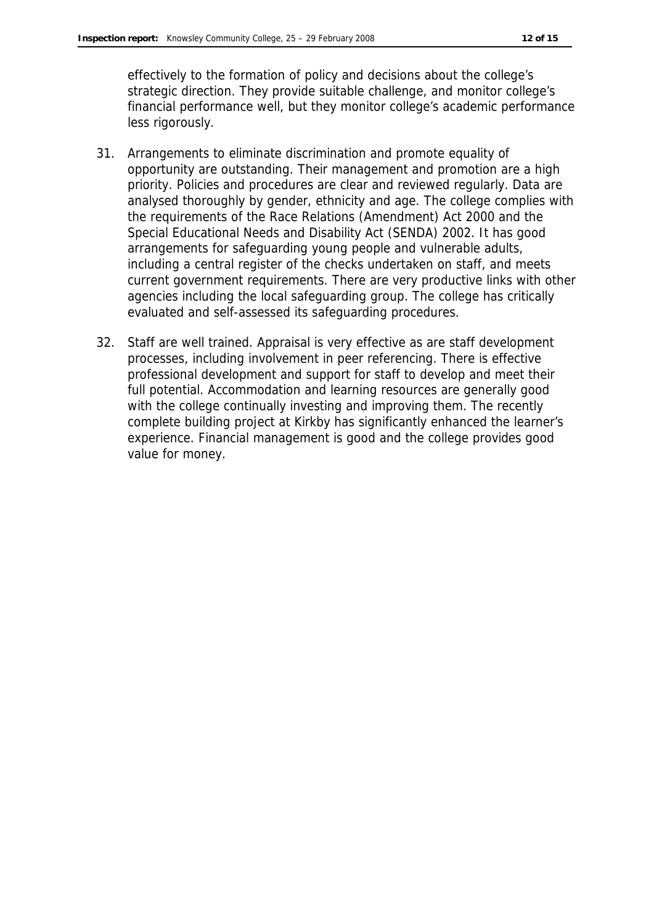effectively to the formation of policy and decisions about the college's strategic direction. They provide suitable challenge, and monitor college's financial performance well, but they monitor college's academic performance less rigorously.

- 31. Arrangements to eliminate discrimination and promote equality of opportunity are outstanding. Their management and promotion are a high priority. Policies and procedures are clear and reviewed regularly. Data are analysed thoroughly by gender, ethnicity and age. The college complies with the requirements of the Race Relations (Amendment) Act 2000 and the Special Educational Needs and Disability Act (SENDA) 2002. It has good arrangements for safeguarding young people and vulnerable adults, including a central register of the checks undertaken on staff, and meets current government requirements. There are very productive links with other agencies including the local safeguarding group. The college has critically evaluated and self-assessed its safeguarding procedures.
- 32. Staff are well trained. Appraisal is very effective as are staff development processes, including involvement in peer referencing. There is effective professional development and support for staff to develop and meet their full potential. Accommodation and learning resources are generally good with the college continually investing and improving them. The recently complete building project at Kirkby has significantly enhanced the learner's experience. Financial management is good and the college provides good value for money.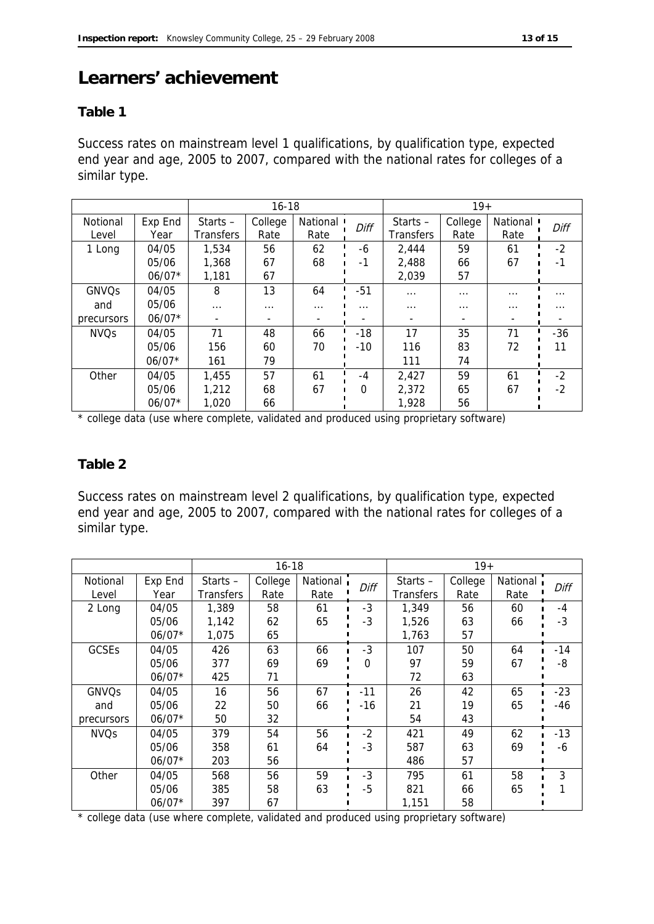### **Learners' achievement**

### **Table 1**

Success rates on mainstream level 1 qualifications, by qualification type, expected end year and age, 2005 to 2007, compared with the national rates for colleges of a similar type.

|              |          | $16 - 18$                |          |          | $19+$    |            |                          |          |          |
|--------------|----------|--------------------------|----------|----------|----------|------------|--------------------------|----------|----------|
| Notional     | Exp End  | Starts $-$               | College  | National | Diff     | Starts $-$ | College                  | National | Diff     |
| Level        | Year     | <b>Transfers</b>         | Rate     | Rate     |          | Transfers  | Rate                     | Rate     |          |
| 1 Long       | 04/05    | 1,534                    | 56       | 62       | -6       | 2,444      | 59                       | 61       | $-2$     |
|              | 05/06    | 1,368                    | 67       | 68       | $-1$     | 2,488      | 66                       | 67       |          |
|              | $06/07*$ | 1,181                    | 67       |          |          | 2,039      | 57                       |          |          |
| <b>GNVQs</b> | 04/05    | 8                        | 13       | 64       | $-51$    | $\cdots$   | $\cdots$                 | $\cdots$ | $\cdots$ |
| and          | 05/06    | $\cdots$                 | $\cdots$ | $\cdots$ | $\cdots$ | $\cdots$   | .                        | $\cdots$ | $\cdots$ |
| precursors   | $06/07*$ | $\overline{\phantom{a}}$ |          |          |          |            | $\overline{\phantom{a}}$ |          |          |
| <b>NVQs</b>  | 04/05    | 71                       | 48       | 66       | $-18$    | 17         | 35                       | 71       | $-36$    |
|              | 05/06    | 156                      | 60       | 70       | $-10$    | 116        | 83                       | 72       | 11       |
|              | $06/07*$ | 161                      | 79       |          |          | 111        | 74                       |          |          |
| Other        | 04/05    | 1,455                    | 57       | 61       | $-4$     | 2,427      | 59                       | 61       | $-2$     |
|              | 05/06    | 1,212                    | 68       | 67       | $\Omega$ | 2,372      | 65                       | 67       | $-2$     |
|              | $06/07*$ | 1.020                    | 66       |          |          | 1,928      | 56                       |          |          |

\* college data (use where complete, validated and produced using proprietary software)

### **Table 2**

Success rates on mainstream level 2 qualifications, by qualification type, expected end year and age, 2005 to 2007, compared with the national rates for colleges of a similar type.

|              |          | $16 - 18$  |         |          | $19+$    |           |         |          |       |
|--------------|----------|------------|---------|----------|----------|-----------|---------|----------|-------|
| Notional     | Exp End  | Starts $-$ | College | National | Diff     | Starts-   | College | National | Diff  |
| Level        | Year     | Transfers  | Rate    | Rate     |          | Transfers | Rate    | Rate     |       |
| 2 Long       | 04/05    | 1,389      | 58      | 61       | -3       | 1,349     | 56      | 60       | $-4$  |
|              | 05/06    | 1,142      | 62      | 65       | -3       | 1,526     | 63      | 66       | $-3$  |
|              | $06/07*$ | 1,075      | 65      |          |          | 1,763     | 57      |          |       |
| GCSEs        | 04/05    | 426        | 63      | 66       | $-3$     | 107       | 50      | 64       | $-14$ |
|              | 05/06    | 377        | 69      | 69       | $\Omega$ | 97        | 59      | 67       | -8    |
|              | $06/07*$ | 425        | 71      |          |          | 72        | 63      |          |       |
| <b>GNVQs</b> | 04/05    | 16         | 56      | 67       | $-11$    | 26        | 42      | 65       | $-23$ |
| and          | 05/06    | 22         | 50      | 66       | $-16$    | 21        | 19      | 65       | -46   |
| precursors   | $06/07*$ | 50         | 32      |          |          | 54        | 43      |          |       |
| <b>NVQs</b>  | 04/05    | 379        | 54      | 56       | $-2$     | 421       | 49      | 62       | $-13$ |
|              | 05/06    | 358        | 61      | 64       | $-3$     | 587       | 63      | 69       | -6    |
|              | $06/07*$ | 203        | 56      |          |          | 486       | 57      |          |       |
| Other        | 04/05    | 568        | 56      | 59       | -3       | 795       | 61      | 58       | 3     |
|              | 05/06    | 385        | 58      | 63       | -5       | 821       | 66      | 65       |       |
|              | $06/07*$ | 397        | 67      |          |          | 1,151     | 58      |          |       |

\* college data (use where complete, validated and produced using proprietary software)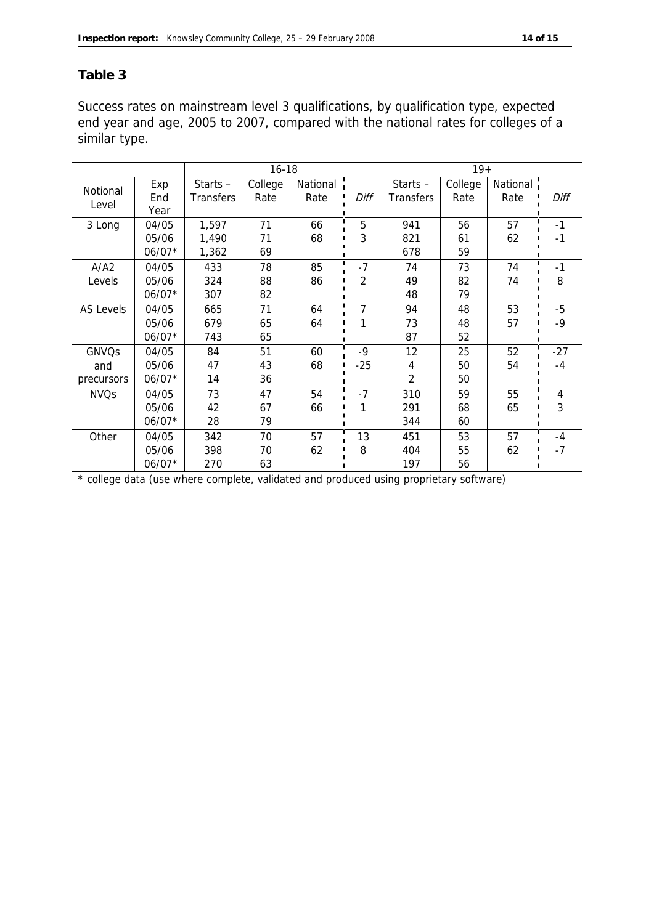### **Table 3**

Success rates on mainstream level 3 qualifications, by qualification type, expected end year and age, 2005 to 2007, compared with the national rates for colleges of a similar type.

|                  |          | $16 - 18$        |         |          |                | $19+$            |         |          |       |
|------------------|----------|------------------|---------|----------|----------------|------------------|---------|----------|-------|
| Notional         | Exp      | Starts $-$       | College | National |                | Starts $-$       | College | National |       |
| Level            | End      | <b>Transfers</b> | Rate    | Rate     | Diff           | <b>Transfers</b> | Rate    | Rate     | Diff  |
|                  | Year     |                  |         |          |                |                  |         |          |       |
| 3 Long           | 04/05    | 1,597            | 71      | 66       | 5              | 941              | 56      | 57       | $-1$  |
|                  | 05/06    | 1,490            | 71      | 68       | 3              | 821              | 61      | 62       | -1    |
|                  | $06/07*$ | 1,362            | 69      |          |                | 678              | 59      |          |       |
| A/A2             | 04/05    | 433              | 78      | 85       | $-7$           | 74               | 73      | 74       | $-1$  |
| Levels           | 05/06    | 324              | 88      | 86       | $\overline{2}$ | 49               | 82      | 74       | 8     |
|                  | $06/07*$ | 307              | 82      |          |                | 48               | 79      |          |       |
| <b>AS Levels</b> | 04/05    | 665              | 71      | 64       | 7              | 94               | 48      | 53       | $-5$  |
|                  | 05/06    | 679              | 65      | 64       |                | 73               | 48      | 57       | -9    |
|                  | $06/07*$ | 743              | 65      |          |                | 87               | 52      |          |       |
| <b>GNVQs</b>     | 04/05    | 84               | 51      | 60       | $-9$           | 12               | 25      | 52       | $-27$ |
| and              | 05/06    | 47               | 43      | 68       | $-25$          | 4                | 50      | 54       | $-4$  |
| precursors       | $06/07*$ | 14               | 36      |          |                | $\overline{2}$   | 50      |          |       |
| <b>NVQs</b>      | 04/05    | 73               | 47      | 54       | $-7$           | 310              | 59      | 55       | 4     |
|                  | 05/06    | 42               | 67      | 66       |                | 291              | 68      | 65       | 3     |
|                  | $06/07*$ | 28               | 79      |          |                | 344              | 60      |          |       |
| Other            | 04/05    | 342              | 70      | 57       | 13             | 451              | 53      | 57       | $-4$  |
|                  | 05/06    | 398              | 70      | 62       | 8              | 404              | 55      | 62       | $-7$  |
|                  | $06/07*$ | 270              | 63      |          |                | 197              | 56      |          |       |

\* college data (use where complete, validated and produced using proprietary software)